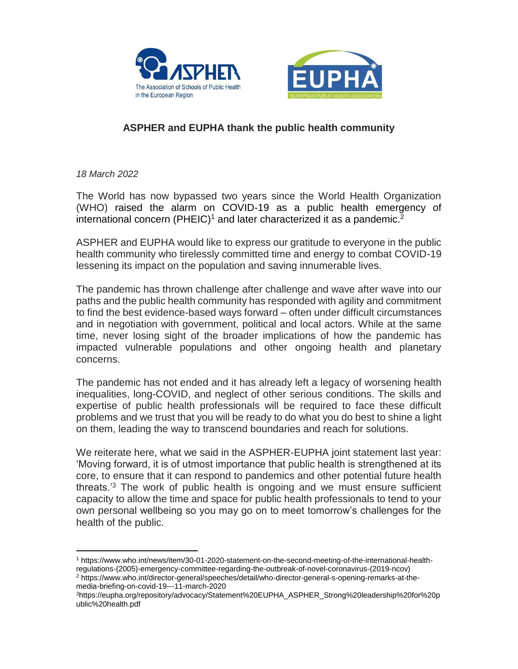



## **ASPHER and EUPHA thank the public health community**

*18 March 2022*

The World has now bypassed two years since the World Health Organization (WHO) raised the alarm on COVID-19 as a public health emergency of international concern (PHEIC)<sup>1</sup> and later characterized it as a pandemic.<sup>2</sup>

ASPHER and EUPHA would like to express our gratitude to everyone in the public health community who tirelessly committed time and energy to combat COVID-19 lessening its impact on the population and saving innumerable lives.

The pandemic has thrown challenge after challenge and wave after wave into our paths and the public health community has responded with agility and commitment to find the best evidence-based ways forward – often under difficult circumstances and in negotiation with government, political and local actors. While at the same time, never losing sight of the broader implications of how the pandemic has impacted vulnerable populations and other ongoing health and planetary concerns.

The pandemic has not ended and it has already left a legacy of worsening health inequalities, long-COVID, and neglect of other serious conditions. The skills and expertise of public health professionals will be required to face these difficult problems and we trust that you will be ready to do what you do best to shine a light on them, leading the way to transcend boundaries and reach for solutions.

We reiterate here, what we said in the ASPHER-EUPHA joint statement last year: 'Moving forward, it is of utmost importance that public health is strengthened at its core, to ensure that it can respond to pandemics and other potential future health threats.<sup>3</sup> The work of public health is ongoing and we must ensure sufficient capacity to allow the time and space for public health professionals to tend to your own personal wellbeing so you may go on to meet tomorrow's challenges for the health of the public.

 $\overline{a}$ <sup>1</sup> [https://www.who.int/news/item/30-01-2020-statement-on-the-second-meeting-of-the-international-health](https://www.who.int/news/item/30-01-2020-statement-on-the-second-meeting-of-the-international-health-regulations-(2005)-emergency-committee-regarding-the-outbreak-of-novel-coronavirus-(2019-ncov))[regulations-\(2005\)-emergency-committee-regarding-the-outbreak-of-novel-coronavirus-\(2019-ncov\)](https://www.who.int/news/item/30-01-2020-statement-on-the-second-meeting-of-the-international-health-regulations-(2005)-emergency-committee-regarding-the-outbreak-of-novel-coronavirus-(2019-ncov))

<sup>2</sup> [https://www.who.int/director-general/speeches/detail/who-director-general-s-opening-remarks-at-the](https://www.who.int/director-general/speeches/detail/who-director-general-s-opening-remarks-at-the-media-briefing-on-covid-19---11-march-2020)[media-briefing-on-covid-19---11-march-2020](https://www.who.int/director-general/speeches/detail/who-director-general-s-opening-remarks-at-the-media-briefing-on-covid-19---11-march-2020)

<sup>3</sup>[https://eupha.org/repository/advocacy/Statement%20EUPHA\\_ASPHER\\_Strong%20leadership%20for%20p](https://eupha.org/repository/advocacy/Statement%20EUPHA_ASPHER_Strong%20leadership%20for%20public%20health.pdf) [ublic%20health.pdf](https://eupha.org/repository/advocacy/Statement%20EUPHA_ASPHER_Strong%20leadership%20for%20public%20health.pdf)